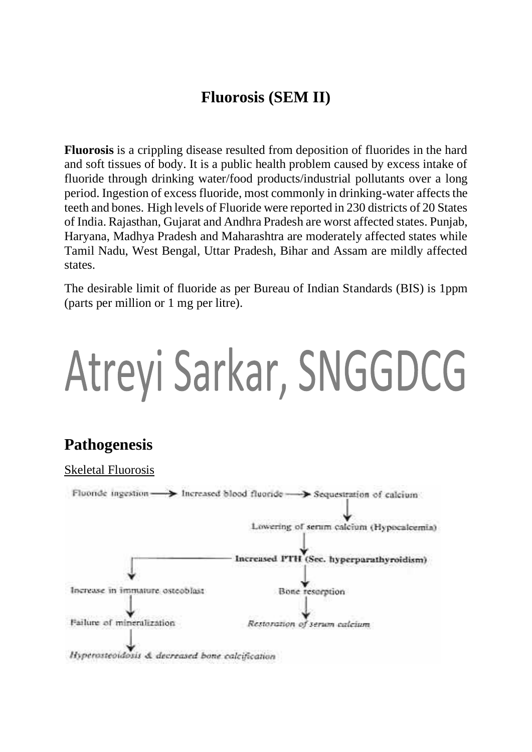## **Fluorosis (SEM II)**

**Fluorosis** is a crippling disease resulted from deposition of fluorides in the hard and soft tissues of body. It is a public health problem caused by excess intake of fluoride through drinking water/food products/industrial pollutants over a long period. Ingestion of excess fluoride, most commonly in drinking-water affects the teeth and bones. High levels of Fluoride were reported in 230 districts of 20 States of India. Rajasthan, Gujarat and Andhra Pradesh are worst affected states. Punjab, Haryana, Madhya Pradesh and Maharashtra are moderately affected states while Tamil Nadu, West Bengal, Uttar Pradesh, Bihar and Assam are mildly affected states.

The desirable limit of fluoride as per Bureau of Indian Standards (BIS) is 1ppm (parts per million or 1 mg per litre).

## Atreyi Sarkar, SNGGDCG

### **Pathogenesis**

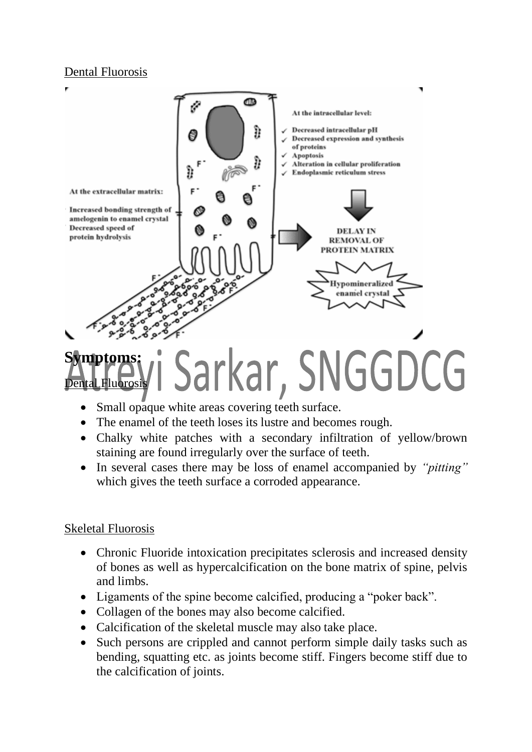#### Dental Fluorosis



- Small opaque white areas covering teeth surface.
- The enamel of the teeth loses its lustre and becomes rough.
- Chalky white patches with a secondary infiltration of yellow/brown staining are found irregularly over the surface of teeth.
- In several cases there may be loss of enamel accompanied by *"pitting"* which gives the teeth surface a corroded appearance.

#### Skeletal Fluorosis

Fluorosis

- Chronic Fluoride intoxication precipitates sclerosis and increased density of bones as well as hypercalcification on the bone matrix of spine, pelvis and limbs.
- Ligaments of the spine become calcified, producing a "poker back".
- Collagen of the bones may also become calcified.
- Calcification of the skeletal muscle may also take place.
- Such persons are crippled and cannot perform simple daily tasks such as bending, squatting etc. as joints become stiff. Fingers become stiff due to the calcification of joints.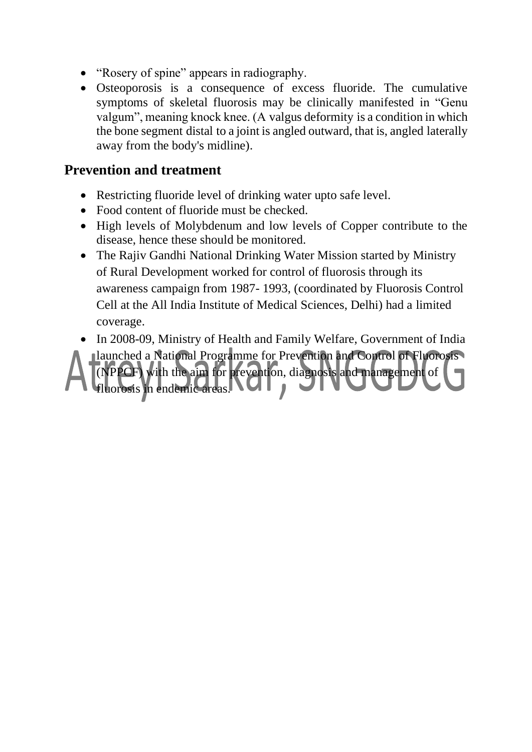- "Rosery of spine" appears in radiography.
- Osteoporosis is a consequence of excess fluoride. The cumulative symptoms of skeletal fluorosis may be clinically manifested in "Genu valgum", meaning knock knee. (A valgus deformity is a condition in which the bone segment distal to a joint is angled outward, that is, angled laterally away from the body's midline).

#### **Prevention and treatment**

- Restricting fluoride level of drinking water upto safe level.
- Food content of fluoride must be checked.
- High levels of Molybdenum and low levels of Copper contribute to the disease, hence these should be monitored.
- The Rajiv Gandhi National Drinking Water Mission started by Ministry of Rural Development worked for control of fluorosis through its awareness campaign from 1987- 1993, (coordinated by Fluorosis Control Cell at the All India Institute of Medical Sciences, Delhi) had a limited coverage.
- In 2008-09, Ministry of Health and Family Welfare, Government of India

launched a National Programme for Prevention and Control of Fluorosis (NPPCF) with the aim for prevention, diagnosis and management of fluorosis in endemic areas. NUI,